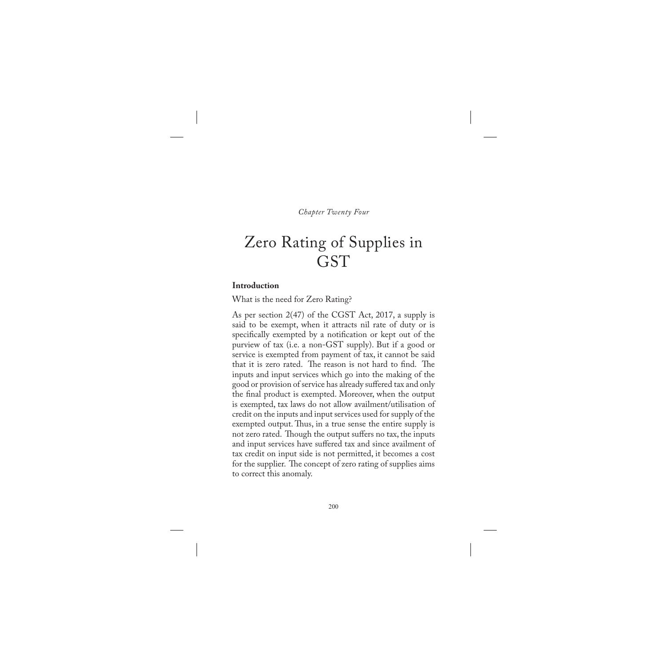*Chapter Twenty Four*

## Zero Rating of Supplies in **GST**

## **Introduction**

What is the need for Zero Rating?

As per section 2(47) of the CGST Act, 2017, a supply is said to be exempt, when it attracts nil rate of duty or is specifically exempted by a notification or kept out of the purview of tax (i.e. a non-GST supply). But if a good or service is exempted from payment of tax, it cannot be said that it is zero rated. The reason is not hard to find. The inputs and input services which go into the making of the good or provision of service has already suffered tax and only the final product is exempted. Moreover, when the output is exempted, tax laws do not allow availment/utilisation of credit on the inputs and input services used for supply of the exempted output. Thus, in a true sense the entire supply is not zero rated. Though the output suffers no tax, the inputs and input services have suffered tax and since availment of tax credit on input side is not permitted, it becomes a cost for the supplier. The concept of zero rating of supplies aims to correct this anomaly.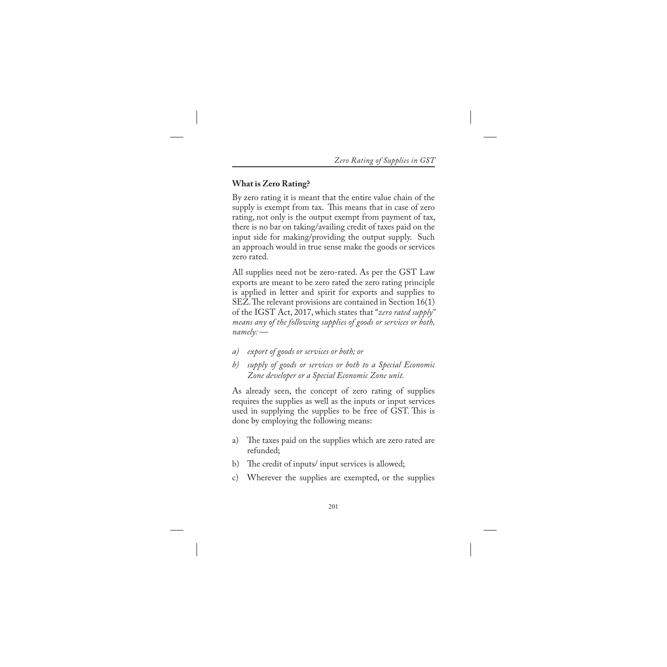## **What is Zero Rating?**

By zero rating it is meant that the entire value chain of the supply is exempt from tax. This means that in case of zero rating, not only is the output exempt from payment of tax, there is no bar on taking/availing credit of taxes paid on the input side for making/providing the output supply. Such an approach would in true sense make the goods or services zero rated.

All supplies need not be zero-rated. As per the GST Law exports are meant to be zero rated the zero rating principle is applied in letter and spirit for exports and supplies to SEZ. The relevant provisions are contained in Section 16(1) of the IGST Act, 2017, which states that "*zero rated supply" means any of the following supplies of goods or services or both, namely: ––*

- *a) export of goods or services or both; or*
- *b) supply of goods or services or both to a Special Economic Zone developer or a Special Economic Zone unit.*

As already seen, the concept of zero rating of supplies requires the supplies as well as the inputs or input services used in supplying the supplies to be free of GST. This is done by employing the following means:

- a) The taxes paid on the supplies which are zero rated are refunded;
- b) The credit of inputs/ input services is allowed;
- c) Wherever the supplies are exempted, or the supplies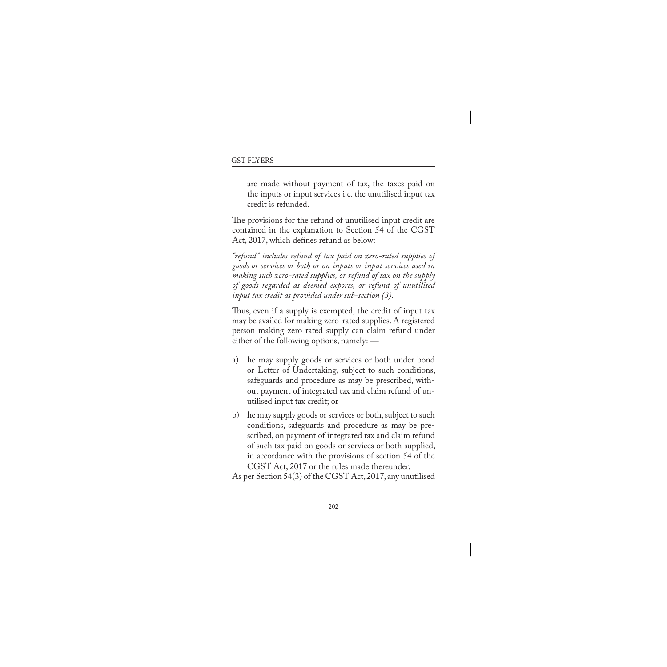are made without payment of tax, the taxes paid on the inputs or input services i.e. the unutilised input tax credit is refunded.

The provisions for the refund of unutilised input credit are contained in the explanation to Section 54 of the CGST Act, 2017, which defines refund as below:

*"refund" includes refund of tax paid on zero-rated supplies of goods or services or both or on inputs or input services used in making such zero-rated supplies, or refund of tax on the supply of goods regarded as deemed exports, or refund of unutilised input tax credit as provided under sub-section (3).*

Thus, even if a supply is exempted, the credit of input tax may be availed for making zero-rated supplies. A registered person making zero rated supply can claim refund under either of the following options, namely: ––

- a) he may supply goods or services or both under bond or Letter of Undertaking, subject to such conditions, safeguards and procedure as may be prescribed, without payment of integrated tax and claim refund of unutilised input tax credit; or
- b) he may supply goods or services or both, subject to such conditions, safeguards and procedure as may be prescribed, on payment of integrated tax and claim refund of such tax paid on goods or services or both supplied, in accordance with the provisions of section 54 of the CGST Act, 2017 or the rules made thereunder.

As per Section 54(3) of the CGST Act, 2017, any unutilised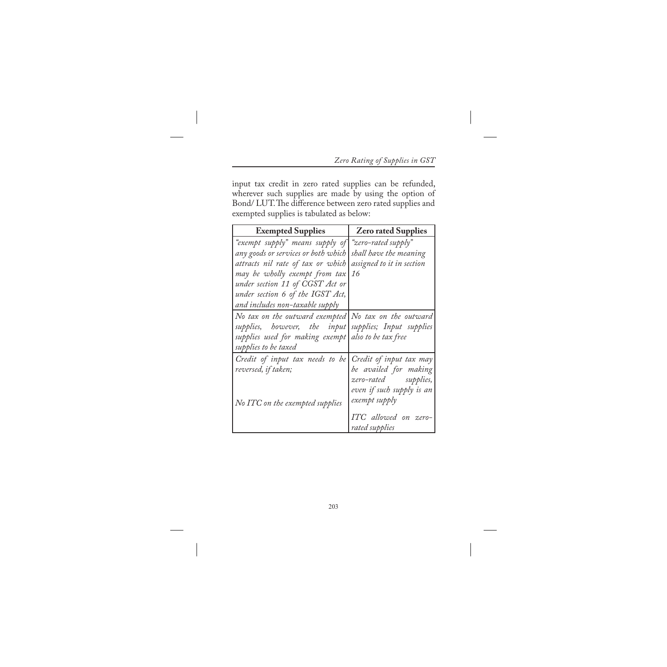input tax credit in zero rated supplies can be refunded, wherever such supplies are made by using the option of Bond/ LUT. The difference between zero rated supplies and exempted supplies is tabulated as below:

| <b>Exempted Supplies</b>                                                | <b>Zero rated Supplies</b> |
|-------------------------------------------------------------------------|----------------------------|
| "exempt supply" means supply of "zero-rated supply"                     |                            |
| any goods or services or both which                                     | shall have the meaning     |
| attracts nil rate of tax or which                                       | assigned to it in section  |
| may be wholly exempt from tax                                           | <i>16</i>                  |
| under section 11 of CGST Act or                                         |                            |
| under section 6 of the IGST Act,                                        |                            |
| and includes non-taxable supply                                         |                            |
| No tax on the outward exempted $\lfloor N_o \rfloor$ tax on the outward |                            |
| supplies, however, the input supplies; Input supplies                   |                            |
| supplies used for making exempt                                         | also to be tax free        |
| supplies to be taxed                                                    |                            |
| Credit of input tax needs to be                                         | Credit of input tax may    |
| reversed, if taken;                                                     | be availed for making      |
|                                                                         | zero-rated supplies,       |
|                                                                         | even if such supply is an  |
| No ITC on the exempted supplies                                         | exempt supply              |
|                                                                         | ITC allowed on zero-       |
|                                                                         | rated supplies             |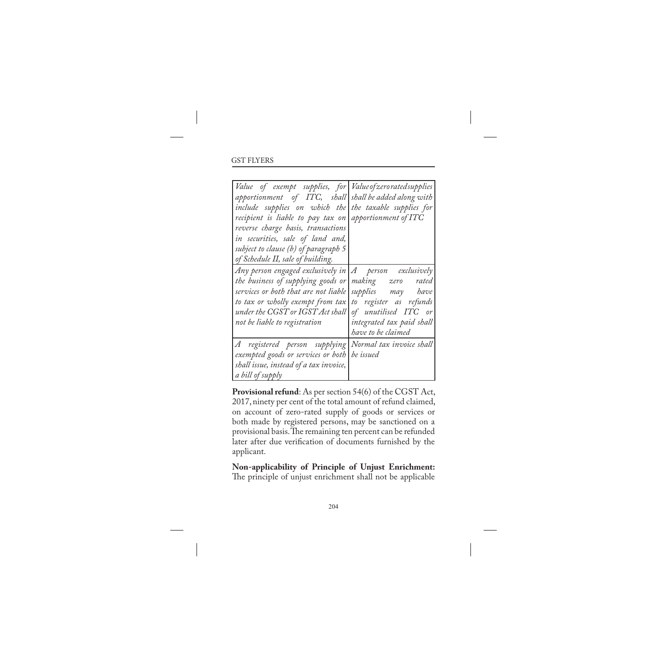| Value of exempt supplies, for<br>apportionment of ITC, shall<br>include supplies on which the<br>recipient is liable to pay tax on<br>reverse charge basis, transactions<br>in securities, sale of land and,<br>subject to clause $(b)$ of paragraph 5<br>of Schedule II, sale of building. | Value of zero rated supplies<br>shall be added along with<br>the taxable supplies for<br>apportionment of ITC                                                       |
|---------------------------------------------------------------------------------------------------------------------------------------------------------------------------------------------------------------------------------------------------------------------------------------------|---------------------------------------------------------------------------------------------------------------------------------------------------------------------|
| Any person engaged exclusively in<br>the business of supplying goods or<br>services or both that are not liable<br>to tax or wholly exempt from tax<br>under the CGST or IGST Act shall<br>not be liable to registration                                                                    | A person exclusively<br>making zero rated<br>supplies may have<br>to register as refunds<br>of unutilised ITC or<br>integrated tax paid shall<br>have to be claimed |
| A registered person supplying <br>exempted goods or services or both<br>shall issue, instead of a tax invoice,<br>a bill of supply                                                                                                                                                          | Normal tax invoice shall<br>be issued                                                                                                                               |

**Provisional refund**: As per section 54(6) of the CGST Act, 2017, ninety per cent of the total amount of refund claimed, on account of zero-rated supply of goods or services or both made by registered persons, may be sanctioned on a provisional basis. The remaining ten percent can be refunded later after due verification of documents furnished by the applicant.

**Non-applicability of Principle of Unjust Enrichment:**  The principle of unjust enrichment shall not be applicable